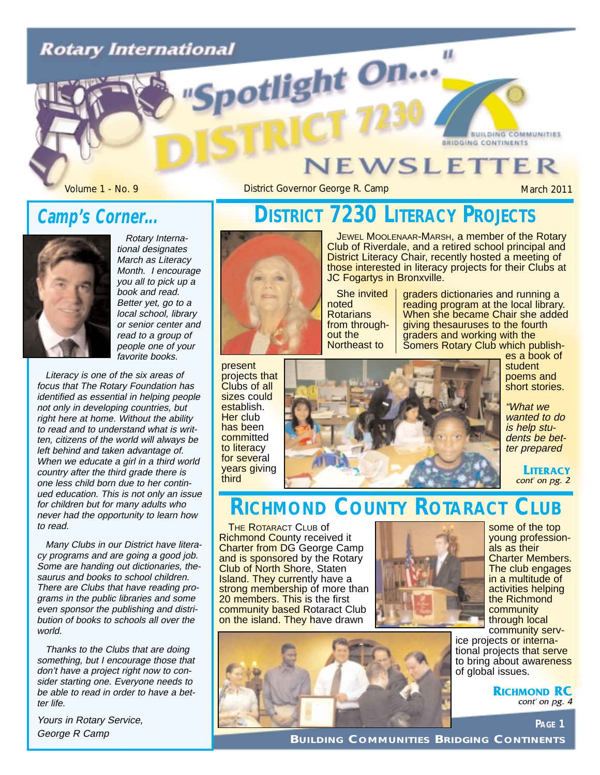# **Rotary International** potlight On...

### **JEWSLETTER**

Volume 1 - No. 9 **District Governor George R. Camp** March 2011

**BUILDING COMMUNITIES** 

BRIDGING CONTINENTS

### **Camp's Corner...**



Rotary International designates March as Literacy Month. I encourage you all to pick up a book and read. Better yet, go to a local school, library or senior center and read to a group of people one of your favorite books.

Literacy is one of the six areas of focus that The Rotary Foundation has identified as essential in helping people not only in developing countries, but right here at home. Without the ability to read and to understand what is written, citizens of the world will always be left behind and taken advantage of. When we educate a girl in a third world country after the third grade there is one less child born due to her continued education. This is not only an issue for children but for many adults who never had the opportunity to learn how to read.

Many Clubs in our District have literacy programs and are going a good job. Some are handing out dictionaries, thesaurus and books to school children. There are Clubs that have reading programs in the public libraries and some even sponsor the publishing and distribution of books to schools all over the world.

Thanks to the Clubs that are doing something, but I encourage those that don't have a project right now to consider starting one. Everyone needs to be able to read in order to have a better life.

Yours in Rotary Service, George R Camp

### **DISTRICT 7230 LITERACY PROJECTS**



JEWEL MOOLENAAR-MARSH, a member of the Rotary Club of Riverdale, and a retired school principal and District Literacy Chair, recently hosted a meeting of those interested in literacy projects for their Clubs at JC Fogartys in Bronxville.

п.

She invited noted Rotarians from throughout the Northeast to

graders dictionaries and running a reading program at the local library. When she became Chair she added giving thesauruses to the fourth graders and working with the Somers Rotary Club which publish-

present projects that Clubs of all sizes could establish. Her club has been committed to literacy for several years giving third



es a book of student poems and short stories.

"What we wanted to do is help students be better prepared

> **LITERACY** cont' on pg. 2

### **RICHMOND COUNTY ROTARACT CLUB**

**THE ROTARACT CLUB Of** Richmond County received it Charter from DG George Camp and is sponsored by the Rotary Club of North Shore, Staten **Island. They currently have a** strong membership of more than 20 members. This is the first community based Rotaract Club on the island. They have drawn



some of the top young professionals as their Charter Members. The club engages in a multitude of activities helping the Richmond community through local community serv-

ice projects or international projects that serve to bring about awareness of global issues.

> **RICHMOND RC** cont' on pg. 4

> > **PAGE 1**

**BUILDING COMMUNITIES BRIDGING CONTINENTS**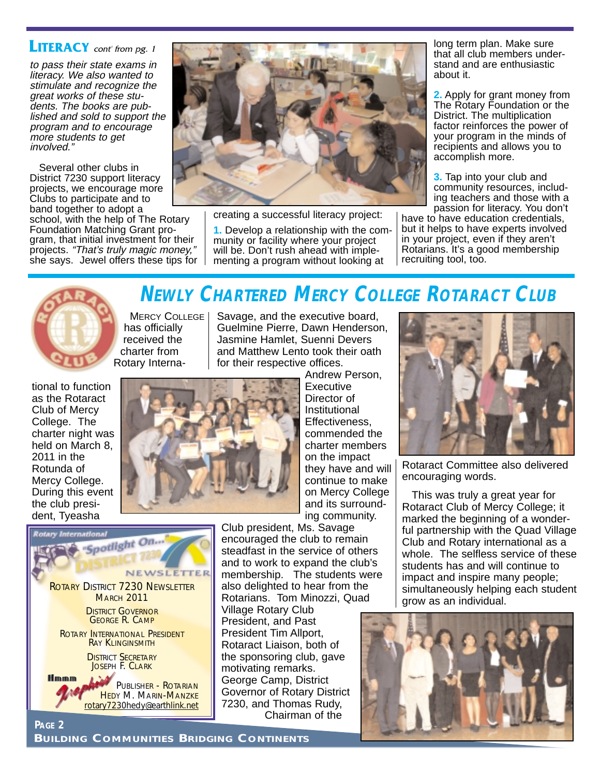#### **LITERACY** cont' from pg. 1

to pass their state exams in literacy. We also wanted to stimulate and recognize the great works of these students. The books are published and sold to support the program and to encourage more students to get involved."

Several other clubs in District 7230 support literacy projects, we encourage more Clubs to participate and to band together to adopt a school, with the help of The Rotary Foundation Matching Grant program, that initial investment for their projects. "That's truly magic money," she says. Jewel offers these tips for



creating a successful literacy project:

**1.** Develop a relationship with the community or facility where your project will be. Don't rush ahead with implementing a program without looking at

long term plan. Make sure that all club members understand and are enthusiastic about it.

**2.** Apply for grant money from The Rotary Foundation or the District. The multiplication factor reinforces the power of your program in the minds of recipients and allows you to accomplish more.

**3.** Tap into your club and community resources, including teachers and those with a passion for literacy. You don't

have to have education credentials, but it helps to have experts involved in your project, even if they aren't Rotarians. It's a good membership recruiting tool, too.



# **NEWLY CHARTERED MERCY COLLEGE ROTARACT CLUB**

**MERCY COLLEGE** has officially received the charter from Rotary Interna-

Savage, and the executive board, Guelmine Pierre, Dawn Henderson, Jasmine Hamlet, Suenni Devers and Matthew Lento took their oath for their respective offices.

tional to function as the Rotaract Club of Mercy College. The charter night was held on March 8, 2011 in the Rotunda of Mercy College. During this event the club president, Tyeasha

**PAGE 2**



International "Spotlight On... NEWSLETTER ROTARY DISTRICT 7230 NEWSLETTER **MARCH 2011** DISTRICT GOVERNOR GEORGE R. CAMP ROTARY INTERNATIONAL PRESIDENT RAY KLINGINSMITH **DISTRICT SECRETARY** JOSEPH F. CLARK **Hmmm** PUBLISHER - ROTARIAN HEDY M. MARIN-MANZKE

Andrew Person, **Executive** Director of Institutional Effectiveness, commended the charter members on the impact they have and will continue to make on Mercy College and its surrounding community.

Club president, Ms. Savage encouraged the club to remain steadfast in the service of others and to work to expand the club's membership. The students were also delighted to hear from the Rotarians. Tom Minozzi, Quad Village Rotary Club

President, and Past President Tim Allport, Rotaract Liaison, both of the sponsoring club, gave motivating remarks. George Camp, District Governor of Rotary District 7230, and Thomas Rudy, Chairman of the



Rotaract Committee also delivered encouraging words.

This was truly a great year for Rotaract Club of Mercy College; it marked the beginning of a wonderful partnership with the Quad Village Club and Rotary international as a whole. The selfless service of these students has and will continue to impact and inspire many people; simultaneously helping each student grow as an individual.



rotary7230hedy@earthlink.net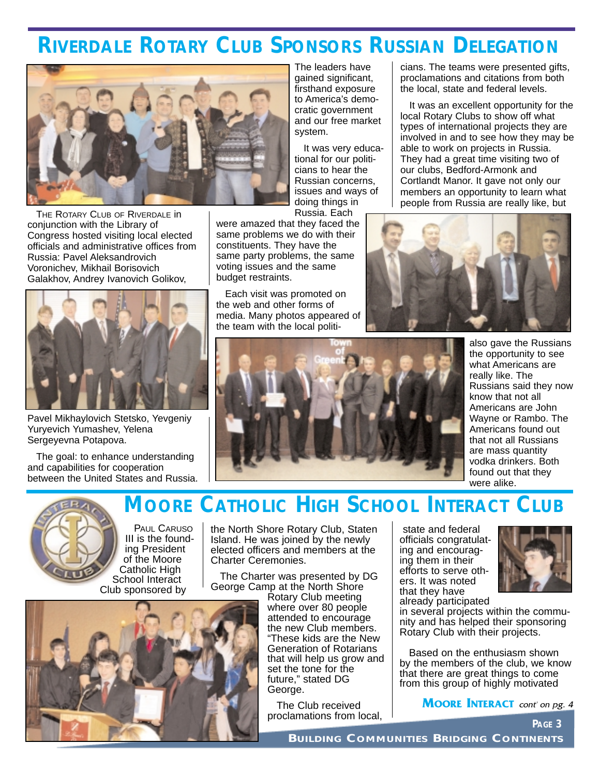### **RIVERDALE ROTARY CLUB SPONSORS RUSSIAN DELEGATION**



THE ROTARY CLUB OF RIVERDALE IN conjunction with the Library of Congress hosted visiting local elected officials and administrative offices from Russia: Pavel Aleksandrovich Voronichev, Mikhail Borisovich Galakhov, Andrey Ivanovich Golikov,



Pavel Mikhaylovich Stetsko, Yevgeniy Yuryevich Yumashev, Yelena Sergeyevna Potapova.

The goal: to enhance understanding and capabilities for cooperation between the United States and Russia. The leaders have gained significant, firsthand exposure to America's democratic government and our free market system.

It was very educational for our politicians to hear the Russian concerns, issues and ways of doing things in Russia. Each

were amazed that they faced the same problems we do with their constituents. They have the same party problems, the same voting issues and the same budget restraints.

Each visit was promoted on the web and other forms of media. Many photos appeared of the team with the local politicians. The teams were presented gifts, proclamations and citations from both the local, state and federal levels.

It was an excellent opportunity for the local Rotary Clubs to show off what types of international projects they are involved in and to see how they may be able to work on projects in Russia. They had a great time visiting two of our clubs, Bedford-Armonk and Cortlandt Manor. It gave not only our members an opportunity to learn what people from Russia are really like, but





**MOORE CATHOLIC HIGH SCHOOL INTERACT CLUB**

also gave the Russians the opportunity to see what Americans are really like. The Russians said they now know that not all Americans are John Wayne or Rambo. The Americans found out that not all Russians are mass quantity vodka drinkers. Both found out that they were alike.



PAUL CARUSO III is the founding President of the Moore Catholic High School Interact Club sponsored by

the North Shore Rotary Club, Staten Island. He was joined by the newly elected officers and members at the Charter Ceremonies.

The Charter was presented by DG George Camp at the North Shore

Rotary Club meeting where over 80 people attended to encourage the new Club members. "These kids are the New Generation of Rotarians that will help us grow and set the tone for the future," stated DG George.

The Club received proclamations from local,

state and federal officials congratulating and encouraging them in their efforts to serve others. It was noted that they have already participated



**PAGE 3**

in several projects within the community and has helped their sponsoring Rotary Club with their projects.

Based on the enthusiasm shown by the members of the club, we know that there are great things to come from this group of highly motivated

**MOORE INTERACT** cont' on pg. 4